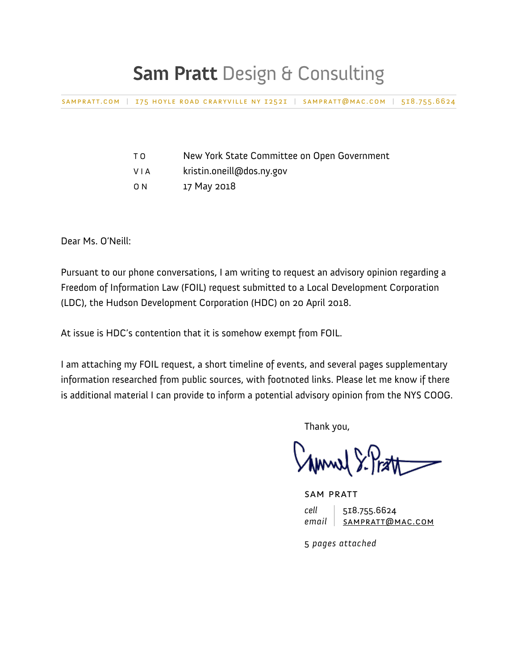## **Sam Pratt** Design & Consulting

[sampratt.com](http://sampratt.com) | 175 hoyle road craryville ny 12521 | [sampratt@mac.com](mailto:sampratt@mac.com) | 518.755.6624

| T O | New York State Committee on Open Government |
|-----|---------------------------------------------|
| .   | $\cdots$                                    |

- V I A kristin.oneill@dos.ny.gov
- O N 17 May 2018

Dear Ms. O'Neill:

Pursuant to our phone conversations, I am writing to request an advisory opinion regarding a Freedom of Information Law (FOIL) request submitted to a Local Development Corporation (LDC), the Hudson Development Corporation (HDC) on 20 April 2018.

At issue is HDC's contention that it is somehow exempt from FOIL.

I am attaching my FOIL request, a short timeline of events, and several pages supplementary information researched from public sources, with footnoted links. Please let me know if there is additional material I can provide to inform a potential advisory opinion from the NYS COOG.

Thank you,

 $\lambda$  Amwel  $\Sigma$  lear

 sam pratt *cell* 518.755.6624 *email* [sampratt@mac.com](mailto:sampratt@mac.com)

5 *pages attached*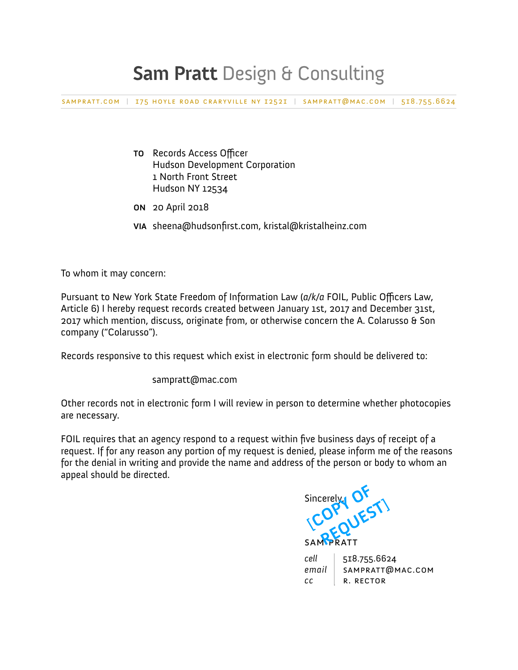## **Sam Pratt** Design & Consulting

[sampratt.com](http://sampratt.com) | 175 hoyle road craryville ny 12521 | [sampratt@mac.com](mailto:sampratt@mac.com) | 518.755.6624

- **TO** Records Access Officer Hudson Development Corporation 1 North Front Street Hudson NY 12534
- **ON** 20 April 2018
- **VIA** [sheena@hudsonfirst.com](mailto:sheena@hudsonfirst.com), [kristal@kristalheinz.com](mailto:kristal@kristalheinz.com)

To whom it may concern:

Pursuant to New York State Freedom of Information Law (*a/k/a* FOIL, Public Officers Law, Article 6) I hereby request records created between January 1st, 2017 and December 31st, 2017 which mention, discuss, originate from, or otherwise concern the A. Colarusso & Son company ("Colarusso").

Records responsive to this request which exist in electronic form should be delivered to:

sampratt@mac.com

Other records not in electronic form I will review in person to determine whether photocopies are necessary.

FOIL requires that an agency respond to a request within five business days of receipt of a request. If for any reason any portion of my request is denied, please inform me of the reasons for the denial in writing and provide the name and address of the person or body to whom an appeal should be directed.

 Sincerely, **SAMPRATT** Sincerely OF **OPY JEST!** 

| cell   518.755.6624      |
|--------------------------|
| email   SAMPRATT@MAC.COM |
| CC R. RECTOR             |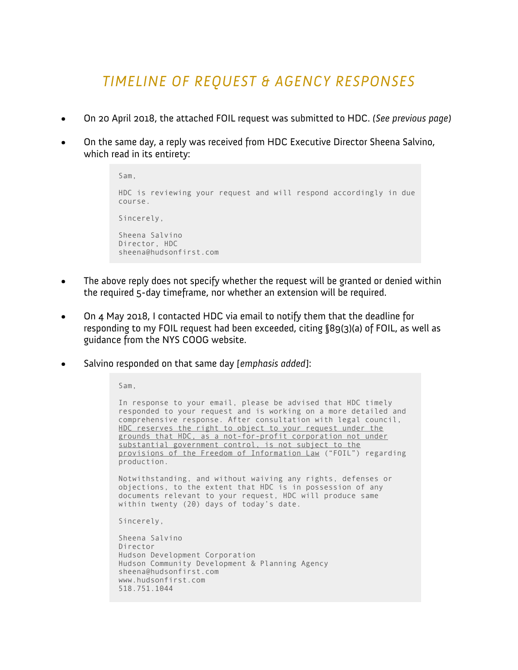## *TIMELINE OF REQUEST & AGENCY RESPONSES*

- On 20 April 2018, the attached FOIL request was submitted to HDC. *(See previous page)*
- On the same day, a reply was received from HDC Executive Director Sheena Salvino, which read in its entirety:

```
Sam, 
HDC is reviewing your request and will respond accordingly in due 
course. 
Sincerely, 
Sheena Salvino 
Director, HDC 
sheena@hudsonfirst.com
```
- The above reply does not specify whether the request will be granted or denied within the required 5-day timeframe, nor whether an extension will be required.
- On 4 May 2018, I contacted HDC via email to notify them that the deadline for responding to my FOIL request had been exceeded, citing §89(3)(a) of FOIL, as well as guidance from the NYS COOG website.
- Salvino responded on that same day *[emphasis added]*:

Sam,

In response to your email, please be advised that HDC timely responded to your request and is working on a more detailed and comprehensive response. After consultation with legal council, HDC reserves the right to object to your request under the grounds that HDC, as a not-for-profit corporation not under substantial government control, is not subject to the provisions of the Freedom of Information Law ("FOIL") regarding production.

Notwithstanding, and without waiving any rights, defenses or objections, to the extent that HDC is in possession of any documents relevant to your request, HDC will produce same within twenty (20) days of today's date.

Sincerely,

Sheena Salvino Director Hudson Development Corporation Hudson Community Development & Planning Agency [sheena@hudsonfirst.com](mailto:sheena@hudsonfirst.com)  [www.hudsonfirst.com](http://www.hudsonfirst.com/)  518.751.1044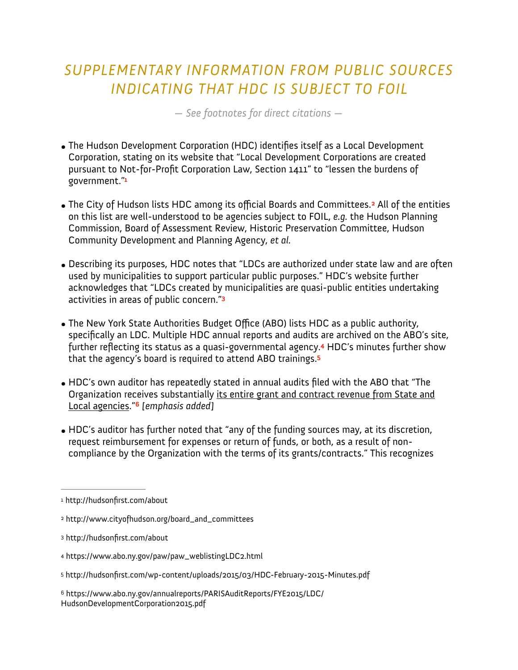## *SUPPLEMENTARY INFORMATION FROM PUBLIC SOURCES INDICATING THAT HDC IS SUBJECT TO FOIL*

<span id="page-3-7"></span>*— See footnotes for direct citations —* 

- The Hudson Development Corporation (HDC) identifies itself as a Local Development Corporation, stating on its website that "Local Development Corporations are created pursuant to Not-for-Profit Corporation Law, Section 1411" to "lessen the burdens of government."**[1](#page-3-0)**
- <span id="page-3-6"></span>• The City of Hudson lists HDC among its official Boards and Committees.<sup>2</sup> All of the entities on this list are well-understood to be agencies subject to FOIL, *e.g.* the Hudson Planning Commission, Board of Assessment Review, Historic Preservation Committee, Hudson Community Development and Planning Agency, *et al.*
- Describing its purposes, HDC notes that "LDCs are authorized under state law and are often used by municipalities to support particular public purposes." HDC's website further acknowledges that "LDCs created by municipalities are quasi-public entities undertaking activities in areas of public concern."**[3](#page-3-2)**
- <span id="page-3-9"></span><span id="page-3-8"></span>• The New York State Authorities Budget Office (ABO) lists HDC as a public authority, specifically an LDC. Multiple HDC annual reports and audits are archived on the ABO's site, further reflecting its status as a quasi-governmental agency.<sup>4</sup> HDC's minutes further show that the agency's board is required to attend ABO trainings.**[5](#page-3-4)**
- <span id="page-3-11"></span><span id="page-3-10"></span>• HDC's own auditor has repeatedly stated in annual audits filed with the ABO that "The Organization receives substantially its entire grant and contract revenue from State and Local agencies." *[emphasis added]* **[6](#page-3-5)**
- HDC's auditor has further noted that "any of the funding sources may, at its discretion, request reimbursement for expenses or return of funds, or both, as a result of noncompliance by the Organization with the terms of its grants/contracts." This recognizes

<span id="page-3-2"></span>http://hudsonfirst.com/about [3](#page-3-8)

- <span id="page-3-4"></span><http://hudsonfirst.com/wp-content/uploads/2015/03/HDC-February-2015-Minutes.pdf> [5](#page-3-10)
- <span id="page-3-5"></span> https://www.abo.ny.gov/annualreports/PARISAuditReports/FYE2015/LDC/ [6](#page-3-11) HudsonDevelopmentCorporation2015.pdf

<span id="page-3-0"></span><sup>&</sup>lt;sup>[1](#page-3-6)</sup> http://hudsonfirst.com/about

<span id="page-3-1"></span>[<sup>2</sup>](#page-3-7) http://www.cityofhudson.org/board\_and\_committees

<span id="page-3-3"></span>https://www.abo.ny.gov/paw/paw\_weblistingLDC2.html [4](#page-3-9)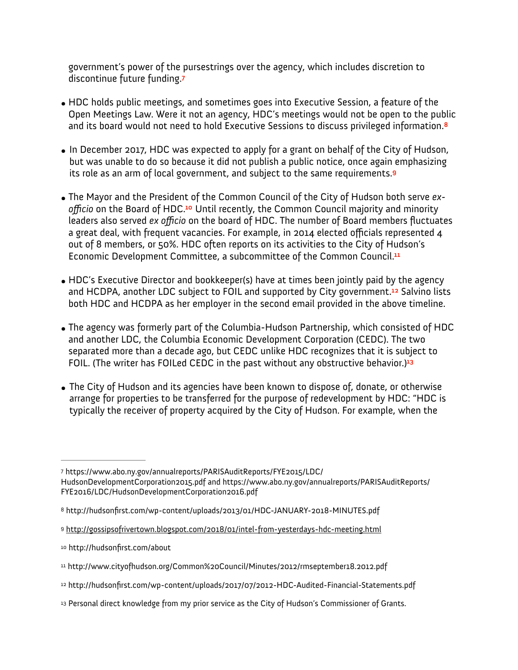<span id="page-4-8"></span><span id="page-4-7"></span>government's power of the pursestrings over the agency, which includes discretion to discontinue future funding.**[7](#page-4-0)**

- HDC holds public meetings, and sometimes goes into Executive Session, a feature of the Open Meetings Law. Were it not an agency, HDC's meetings would not be open to the public and its board would not need to hold Executive Sessions to discuss privileged information.**[8](#page-4-1)**
- <span id="page-4-9"></span>• In December 2017, HDC was expected to apply for a grant on behalf of the City of Hudson, but was unable to do so because it did not publish a public notice, once again emphasizing its role as an arm of local government, and subject to the same requirements.**[9](#page-4-2)**
- <span id="page-4-10"></span>• The Mayor and the President of the Common Council of the City of Hudson both serve *ex*officio on the Board of HDC.<sup>10</sup> Until recently, the Common Council majority and minority leaders also served *ex officio* on the board of HDC. The number of Board members fluctuates a great deal, with frequent vacancies. For example, in 2014 elected officials represented 4 out of 8 members, or 50%. HDC often reports on its activities to the City of Hudson's Economic Development Committee, a subcommittee of the Common Council.**[11](#page-4-4)**
- <span id="page-4-12"></span><span id="page-4-11"></span>• HDC's Executive Director and bookkeeper(s) have at times been jointly paid by the agency and HCDPA, another LDC subject to FOIL and supported by City government[.](#page-4-5)<sup>12</sup> Salvino lists both HDC and HCDPA as her employer in the second email provided in the above timeline.
- The agency was formerly part of the Columbia-Hudson Partnership, which consisted of HDC and another LDC, the Columbia Economic Development Corporation (CEDC). The two separated more than a decade ago, but CEDC unlike HDC recognizes that it is subject to FOIL. (The writer has FOILed CEDC in the past without any obstructive behavior.)**[13](#page-4-6)**
- <span id="page-4-13"></span>• The City of Hudson and its agencies have been known to dispose of, donate, or otherwise arrange for properties to be transferred for the purpose of redevelopment by HDC: "HDC is typically the receiver of property acquired by the City of Hudson. For example, when the

<span id="page-4-0"></span>[https://www.abo.ny.gov/annualreports/PARISAuditReports/FYE2015/LDC/](https://www.abo.ny.gov/annualreports/PARISAuditReports/FYE2015/LDC/HudsonDevelopmentCorporation2015.pdf) [7](#page-4-7) [HudsonDevelopmentCorporation2015.pdf and https://www.abo.ny.gov/annu](https://www.abo.ny.gov/annualreports/PARISAuditReports/FYE2015/LDC/HudsonDevelopmentCorporation2015.pdf)alreports/PARISAuditReports/ FYE2016/LDC/HudsonDevelopmentCorporation2016.pdf

<span id="page-4-1"></span>http://hudsonfirst.com/wp-content/uploads/2013/01/HDC-JANUARY-2018-MINUTES.pdf [8](#page-4-8)

<span id="page-4-2"></span><http://gossipsofrivertown.blogspot.com/2018/01/intel-from-yesterdays-hdc-meeting.html> [9](#page-4-9)

<span id="page-4-3"></span>[<sup>10</sup>](#page-4-10) http://hudsonfirst.com/about

<span id="page-4-4"></span>http://www.cityofhudson.org/Common%20Council/Minutes/2012/rmseptember18.2012.pdf [11](#page-4-11)

<span id="page-4-5"></span>[<sup>12</sup>](#page-4-12) http://hudsonfirst.com/wp-content/uploads/2017/07/2012-HDC-Audited-Financial-Statements.pdf

<span id="page-4-6"></span>[<sup>13</sup>](#page-4-13) Personal direct knowledge from my prior service as the City of Hudson's Commissioner of Grants.